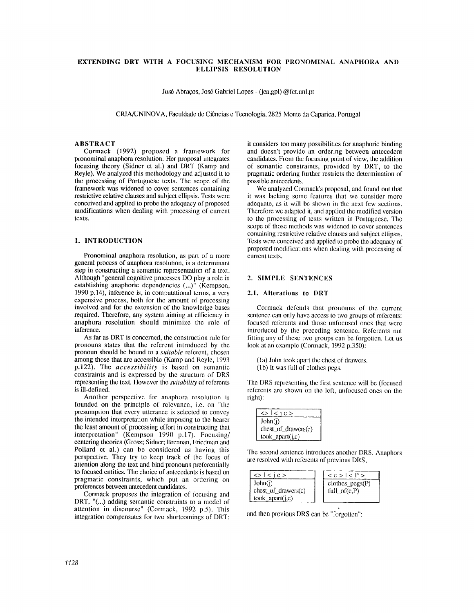# **EXTENDING DRT WITH A FOCUSING MECHANISM FOR PRONOMINAl. ANAPHORA AND ELLIPSIS RESOLUTION**

Jos6 Abraqos, Jos6 Gabriel Lopes - (jea,gpl) @fct.unl.pt

CRIA/UNINOVA, Faculdade de Ci6ncias e Tccnologia, 2825 Monte da Capafica, Portugal

### **ABSTRACT**

Cormack (1992) proposed a framework for pronominal anaphora resolution. Her proposal integrates focusing theory (Sidner et al.) and DRT (Kamp and Reyle). We analyzed this methodology and adjusted it to the processing of Portuguese texts. The scope of the framework was widened to cover sentences containing restrictive relative clauses and subject ellipsis. Tests were conceived and applied to probe the adequacy of proposed modifications when dealing with processing of current texts.

### 1. **INTRODUCTION**

Pronominal anaphora resolution, as part of a more general process of anaphora resolution, is a determinant step in constructing a semantic representation of a text. Although "general cognitive processes DO play a role in establishing anaphoric dependencies (...)" (Kempson, 1990 p.14), inference is, in computational terms, a very expensive process, both for the amount of processing involved and for the extension of the knowledge bases required. Therefore, any system aiming at efficiency in anaphora resolution should minimize the role of inference.

As far as DRT is concerned, the construction rule for pronouns slates that the referent introduced by the pronoun should be bound to a *suitable* referent, chosen among those that are accessible (Kamp and Reyle, 1993 p.122). The *accessibility* is based on semantic constraints and is expressed by the structure of DRS representing the text. However the *suitability* of referents is ill-defined.

Another perspective for anaphora resolution is founded on the principle of relevance, i.e. on "the presumption that every utterance is selected to convey the intended interpretation while imposing to the hearer the least amount of processing effort in constructing that interpretation" (Kempson 1990 p.17). Focusing/ centering theories (Grosz; Sidner; Brennan, Friedman and Pollard et al.) can be considered as having this perspective. They try to keep track of the focus of attention along the text and bind pronouns preferentially to focused entities. The choice of antecedents is based on pragmatic constraints, which put an ordering on preferences between antecedent candidates.

Cormack proposes the integration of focusing and DRT, "(...) adding semantic constraints to a model of attention in discourse" (Cormack, 1992 p.5). This integration compensates for two shortcomings of DRT: it considers too many possibilities for anaphoric binding and doesn't provide an ordering between antecedent candidates. From the focusing point of view, the addition of semantic constraints, provided by DRT, to the pragmatic ordering further restricts the determination of possible antecedents.

We analyzed Cormack's proposal, and found out that it was lacking some features that we consider more adequate, as it will be shown in the next few sections. Therefore we adapted it, and applied the modified version to the processing of texts written in Portuguese. The scope of those methods was widened to cover sentences containing restrictive relative clauses and subject ellipsis. Tests were conceived and applied to probe the adequacy of proposed modifications when dealing with processing of current texts.

# 2. SIMPLE SENTENCES

### 2.1. Alterations to DRT

Cormack defends that pronouns of the current sentence can only have access to two groups of referents: focused referents and those unfocused ones that were introduced by the preceding sentence. Referents not fitting any of these two groups can be forgotten. Let us look at an example (Cormack, 1992 p.350):

- (1a) John took apart the chest of drawers. (lb) it was full of clothes pegs.
- 

The DRS representing the first sentence will be (focused referents are shown on the left, unfocused ones on the right):

| $\le$ l < i c >          |
|--------------------------|
| John(i)                  |
| $check of$ drawers $(c)$ |
| $took_apart(j,c)$        |

The second sentence introduces another DRS. Anaphors are resolved with referents of previous DRS,



and then previous DRS can be "forgotten":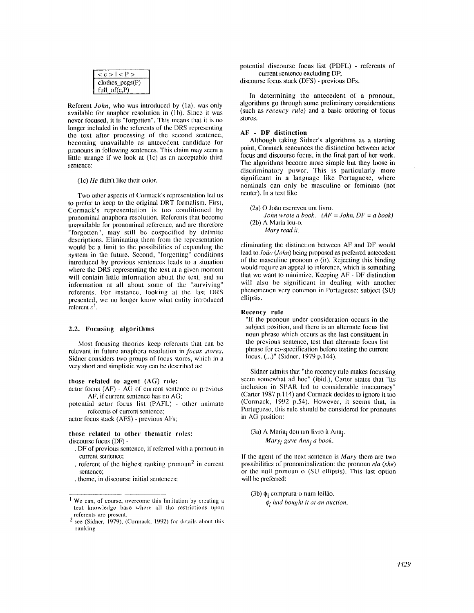| < c > l < P       |
|-------------------|
| $clothes_pegs(P)$ |
| full_of $(c,P)$   |

Referent *John,* who was introduced by (la), was only available for anaphor resolution in (lb). Since it was never focused, it is "forgotten". This means that it is no longer included in the referents of the DRS representing the text after processing of the second sentence, becoming unavailable as antecedent candidate for pronouns in following sentences. This claim may seem a little strange if we look at (1c) as an acceptable third sentence:

#### (lc) *lie* didn't like dmir color.

Two other aspects of Cormack's representation led us to prefer to keep to the original DRT formalism. First, Cormack's representation is too conditioned by pronominal anaphora resolution. Referents that become unavailable for pronominal reference, and are therefore "forgotten", may still be cospecified by definite descriptions. Eliminating them from the representation would be a limit to the possibilities of expanding the system in the future. Second, "forgetting" conditions introduced by previous sentences leads to a situation where the DRS representing the text at a given moment will contain little information about the text, and no information at all about some of the "surviving" referents. For instance, looking at the last DRS presented, we no longer know what entity introduced referent  $c^1$ .

### 2.2. Focusing algorithms

Most focusing theories keep referents that can be relevant in future anaphora resolution in *focus stores.*  Sidner considers two groups of focus stores, which in a very short and simplistic way can be described as:

#### those related to agent (AG) role:

actor focus  $(AF) - AG$  of current sentence or previous AF, if current sentence has no AG;

potential actor focus list (PAFL) - other animate referents of current sentence;

actor focus stack (AFS) - previous AFs;

### **those related** to other **thematic** roles:

discourse focus (DF) -

- DF of previous sentence, if referred with a pronoun in current sentence;
- referent of the highest ranking pronoun<sup>2</sup> in current sentence;
- theme, in discourse initial sentences;

potential discourse focus list (PDFL) - referents of current sentence excluding DF;

discourse focus stack (DFS) - previous DFs.

In determining the antecedent of a pronoun, algorithms go through some preliminary considerations (such as *recency rule)* and a basic ordering of focus stores.

### **AF - DF distinction**

Although taking Sidner's algorithms as a starting point, Cormack renounces the distinction between actor focus and discourse focus, in the final part of her work. The algorithms become more simple but they loose in discriminatory power. This is particularly more significant in a language like Portuguese, where nominals can only be masculine or feminine (not neuter). In a text like

- (2a) O Jofio escreveu um livro.
- *John wrote a book. (AF = John, DF = a book)*   $(2b)$  A Maria leu-o.
	- *Mary read it.*

eliminating the distinction between AF and DF would lead to *Jodo (lohn)* being proposed as preferred antecedent of the masculine pronoun o *(it).* Rejecting this binding would require an appeal to inference, which is something that we want to minimize. Keeping AF - DF distinction will also be significant in dealing with another phenomenon very common in Portuguese: subject (SU) ellipsis.

#### **Recency rule**

"if the pronoun under consideration occurs in the subject position, and there is an alternate focus list noun phrase which occurs as the last constituent in the previous sentence, test that alternate focus list phrase for co-specification before testing the current focus. (...)" (Sidner, 1979 p.144).

Sidner admits that "the recency rule makes focussing seem somewhat ad hoc" (ibid.), Carter states that "its inclusion in SPAR led to considerable inaccuracy" (Carter 1987 p.114) and Cormack decides to ignore it too (Cormack, 1992 p.54). However, it seems that, in Portuguese, this rule should be considered for pronouns in AG position:

(3a) A Maria; deu um livro à Ana<sub>i</sub>. *Mary*<sub>*i*</sub> gave Ann<sub>j</sub> a book.

If the agent of the next sentence is *Mary* there are two possibilities of pronominalization: the pronoun *ela* (she) or the null pronoun  $\phi$  (SU ellipsis). This last option will be preferred:

(3b)  $\phi_i$  comprara-o num leilão.

*¢i had bought it at an auction•* 

<sup>1</sup> We can, of course, overcome this limitation by creating a text knowledge base where all the restrictions upon referents are present.

 $2 \sec$  (Sidner, 1979), (Cormack, 1992) for details about this ranking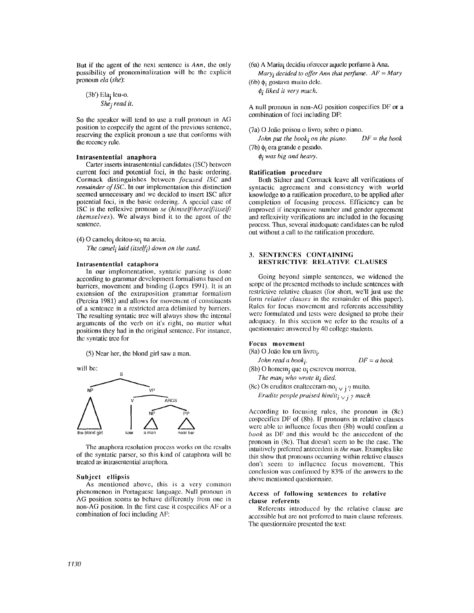But if the agent of the next sentence is *Ann,* the only possibility of pronominalization will be the cxplicit pronoun *ela (she):* 

(3b') Elaj Icu-o. *Shej read it.* 

So thc speaker will tend to use a null pronoun in AG position to cospecify the agent of the previous sentence, reserving the explicit pronoun a use that conforms with thc recency rule.

### Intrasentential **anaphora**

Carter inserts intrasentential candidates (ISC) between current foci and potential foci, in the basic ordering. Cormack distinguishes between *focused ISC* and *remainder of ISC*. In our implementation this distinction seemed unnecessary and we decided to insert ISC after potential foci, in thc basic ordering. A special casc of ISC is the reflexivc pmn(mn *se (himself/herse!f/itself/ themselves).* We always bind it to the agent of the scntence.

(4) O camelo<sub>i</sub> deitou-se<sub>i</sub> na areia.

The camel<sub>i</sub> laid (itself<sub>i</sub>) down on the sand.

## Intrasentential catapbora

In our implementation, syntatic parsing is done according to grammar development formalisms based on barricrs, movcment and binding (Lopcs 1991). It is an cxtension of thc extraposition grammar formalism (Pereira 1981) and allows for movement of constituents of a scntencc in a rcstrictcd area delimited by harricrs. The resulting syntatic tree will always show the internal arguments of the verb on it's right, no matter what positions they had in the original sentence. For instance, the syntatic trec for

(5) Near her, the blond girl saw a man.

will **be:** 



The anaphora resolution process works on the results of the syntatic parser, so this kind of cataphora will be treated as intrasentential anaphora.

# Subject **ellipsis**

As mentioned above, this is a very common phenomenon in Portuguese language. Null pronoun in AG position seems to behave differently from onc in non-AG position. In thc first case it cospecifies AF or a combination of foci including AF:

(6a) A Maria; decidiu of erecer aquele perfume à Ana.

 $Mary<sub>i</sub> decided to offer Ann that perfume. AF = Mary$ (6b)  $\phi_i$  gostava muito dele.

 $\phi$ *i liked it very much.* 

A null pronoun in non-AO position cospccifics DF or a combination of foci including DF:

 $(7a)$  O João poisou o livro; sobre o piano.

*John put the book; on the piano.*  $DF = the book$ (7b)  $\phi_i$  era grande e pesado.

 $\phi$ *i* was big and heavy.

### Ratification procedure

Both Sidner and Cormack leave all verifications of syntactic agreement and consistency with world knowledge to a ratification procedure, to be applied after completion of focusing process. Efficiency can be improved if inexpensive number and gcnder agreement and reflexivity verifications are included in the focusing process. Thus, several inadequate candidates can be ruled out without a call to the ratification procedure.

# 3. SENTENCES CONTAINING RESTRICTIVE RELATIVE CLAUSES

Going beyond simple sentences, we widened the scope of the presented methods to include sentences with restrictive relative clauses (for short, we'll just use the form *relative clauses* in the remainder of this paper). Rules for focus movement and refcrcnts accessibility were formulated and tests were designed to probe their adequacy. In this section we refer to the results of a qucstionnairc answered by 40 collcge students.

## Focus movement

(8a) O João leu um livro;. *John read a book i. DF = a book*  (8b) O homem<sub>i</sub> que  $o_i$  escreveu morreu. The man<sub>j</sub> who wrote it<sub>i</sub> died. (8c) Os eruditos enalteceram-no $i \vee j$  ? muito.

*Erudite people praised him/it<sub>i</sub>*  $\sqrt{}$  *i ? much.* 

According to focusing rules, the pronoun in  $(8c)$ cospecifies  $DF$  of (8b). If pronouns in relative clauses were able to influence focus then  $(8b)$  would confirm a *book* as DF and this would be the antecedent of the pronoun in (8c). That doesn't sccm to be the case. The intuitively preferred antecedent is *the man.* Examples like this show that pronouns occurring within relative clauses don't seem to influence focus movement. This conclusion was confirmed by  $83\%$  of the answers to the above mentioned questionnaire.

# **Access** of following **sentences** to relative **clause** referents

Referents introduced by the relative clause are acccssiblc hut arc not preferred to main clause rcfcrcnts. The qucstionnairc prcscnted the text: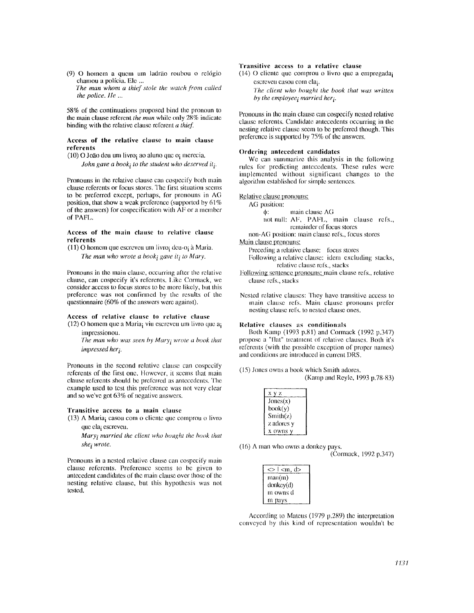(9) O homem a quem um ladrão roubou o relógio chamou a polfcia. Ele ... *The man whom a thief stole the watch from calh:d* 

*the police, lie ...* 

58% of the continuations proposed bind the pronoun to **the main clause referent** *the man* while only 28% indicate binding with the relative clause referent *a thief.* 

### **Access of the relative clause to main clause referents**

 $(10)$  O João deu um livro; ao aluno que o; merecia. *John gave a book; to the student who deserved it;.* 

Pronouns in the relative clause can cospecify both main clause referents or focus stores. The first situation seems to be preferred except, perhaps, for pronouns in AG position, that show a weak preference (supported by  $61\%$ ) of the answers) for cospecification with AF or a member of PAFL.

### **Access of the** main clause to relative clause **referents**

(11) O homem que escreveu um livro; deu-o; à Maria.

The man who wrote a book; gave it; to Mary.

Pronouns in the main clause, occurring after the relative clause, can cospecify it's rclerents, lake Cormack, we consider access to focus stores to be more likely, but this preference was not confirmed by the results of the questionnaire (60% of the answers were against).

### **Access of relative clause to relative clause**  (12) O homem que a Maria<sub>i</sub> viu escreveu um livro que a i

imprcssionou.

The man who was seen by Mary<sub>i</sub> wrote a book that *impressed her i.* 

Pronouns in the second relative clause can cospccify referents of the first one. However, it seems that main clause referents should be preferred as antecedents. The example used to test this preference was not very clear and so we've got 63% of negative answers.

#### **Transitive access to a main clause**

 $(13)$  A Maria<sub>i</sub> casou com o cliente que comprou o livro que ela; escreveu.

*Mary<sub>i</sub>* married the client who bought the book that  $she<sub>i</sub> wrote.$ 

Pronouns in a nested relative clause can cospecify main clause referents. Preference seems to be given to antecedent candidates of the main clause over those of the nesting relative clause, but this hypothesis was not testexl.

### **Transitive access to a relative clause**

preference is supported by 75% of the answers.

 $(14)$  O cliente que comprou o livro que a empregada; escreveu casou com ela; *The client who bought the book that was written by the employee i married her i.* 

Pronouns in the main clause can cospccify nested relative clause referents. Candidate antecedents occurring in the nesting relative clause seem to be preferred though. This

### **Ordering autecedent candidates**

We can summarize this analysis in the following rules for predicting antecedents. These rules were implemented without significant changes to the algorithm established for simple sentences.

Relative clause pronouns:

AG position:

: main clause AG

not null: AF, PAFL, main clause refs., remainder of focus stores

non-AG position: main clause refs., focus stores

Main clause pronouns:

- Preceding a relative clause: focus stores Following a relative clause: idem excluding stacks, relative clause refs., stacks
- Following sentence pronouns: main clause refs., relative clause refs., slacks
- Nested relative clauses: They have transitive access to main clause refs. Main clause pronouns prefer nesting clause refs. to nested clause ones.

## **Relative clauses as conditionals**

Both Kamp (1993 p.81) and Cormack (1992 p.347) propose a "flat" treatment of relative clauses. Both it's referents (with the possible exception of proper names) and conditions are introduced in current DRS.

(15) Jones owns a book which Smith adores.

(Kamp and Reyle, 1993 p.78-83)

| х<br>7,    |  |
|------------|--|
| Jones(x)   |  |
| book(y)    |  |
| Smith(z)   |  |
| z adores v |  |
| x owns     |  |

(16) A man who owns a donkey pays. (Cormack, 1992 p.347)

| $\langle m, d \rangle$ |  |
|------------------------|--|
| man(m)                 |  |
| donkey(d)              |  |
| m owns d               |  |
| m pays                 |  |

According to Mateus (1979  $p.289$ ) the interpretation conveyed hy this kind of representation wouldn't be